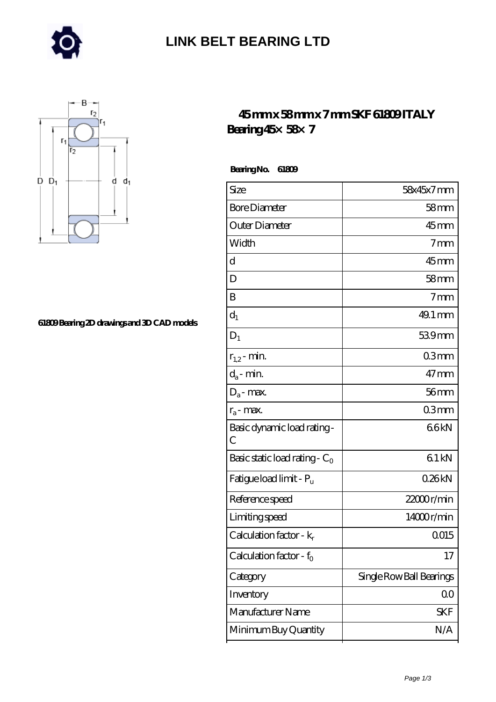

### **[LINK BELT BEARING LTD](https://merionartblog.com)**



#### **[61809 Bearing 2D drawings and 3D CAD models](https://merionartblog.com/pic-249502.html)**

### **[45 mm x 58 mm x 7 mm SKF 61809 ITALY](https://merionartblog.com/bs-249502-skf-61809-italy-bearing-45-58-7.html) [Bearing 45×58×7](https://merionartblog.com/bs-249502-skf-61809-italy-bearing-45-58-7.html)**

 **Bearing No. 61809**

| 58x45x7mm                |
|--------------------------|
| 58 <sub>mm</sub>         |
| $45$ mm                  |
| 7 <sub>mm</sub>          |
| $45$ mm                  |
| 58 <sub>mm</sub>         |
| 7 <sub>mm</sub>          |
| 49.1 mm                  |
| 539mm                    |
| 03mm                     |
| $47 \text{mm}$           |
| $56$ mm                  |
| 03mm                     |
| 66kN                     |
| 61 kN                    |
| 026kN                    |
| 22000r/min               |
| 14000r/min               |
| Q015                     |
| 17                       |
| Single Row Ball Bearings |
| 00                       |
| SKF                      |
| N/A                      |
|                          |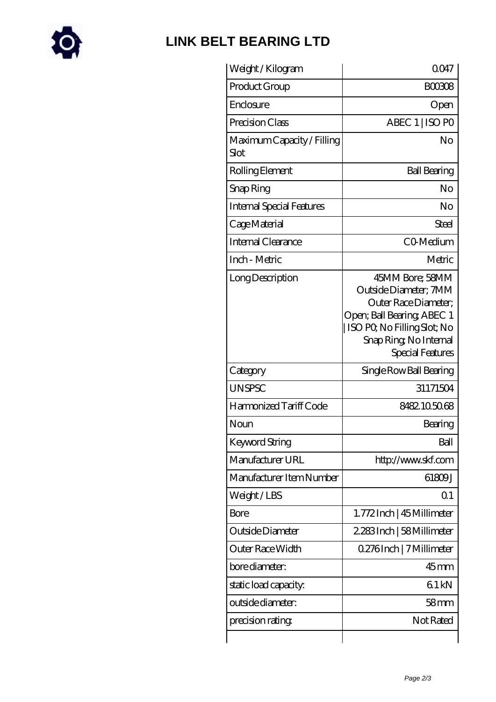

# **[LINK BELT BEARING LTD](https://merionartblog.com)**

| Weight/Kilogram                    | 0047                                                                                                                                                                         |
|------------------------------------|------------------------------------------------------------------------------------------------------------------------------------------------------------------------------|
| Product Group                      | <b>BOO3O8</b>                                                                                                                                                                |
| Enclosure                          | Open                                                                                                                                                                         |
| Precision Class                    | ABEC 1   ISO PO                                                                                                                                                              |
| Maximum Capacity / Filling<br>Slot | No                                                                                                                                                                           |
| Rolling Element                    | <b>Ball Bearing</b>                                                                                                                                                          |
| Snap Ring                          | No                                                                                                                                                                           |
| <b>Internal Special Features</b>   | No                                                                                                                                                                           |
| Cage Material                      | Steel                                                                                                                                                                        |
| Internal Clearance                 | CO-Medium                                                                                                                                                                    |
| Inch - Metric                      | Metric                                                                                                                                                                       |
| Long Description                   | 45MM Bore; 58MM<br>Outside Diameter: 7MM<br>Outer Race Diameter;<br>Open; Ball Bearing; ABEC 1<br>  ISO PQ No Filling Slot; No<br>Snap Ring, No Internal<br>Special Features |
| Category                           | Single Row Ball Bearing                                                                                                                                                      |
| <b>UNSPSC</b>                      | 31171504                                                                                                                                                                     |
| Harmonized Tariff Code             | 8482105068                                                                                                                                                                   |
| Noun                               | Bearing                                                                                                                                                                      |
| Keyword String                     | Ball                                                                                                                                                                         |
| Manufacturer URL                   | http://www.skf.com                                                                                                                                                           |
| Manufacturer Item Number           | 61809J                                                                                                                                                                       |
| Weight/LBS                         | Q <sub>1</sub>                                                                                                                                                               |
| Bore                               | 1.772 Inch   45 Millimeter                                                                                                                                                   |
| Outside Diameter                   | 2.283Inch   58Millimeter                                                                                                                                                     |
| Outer Race Width                   | 0.276Inch   7 Millimeter                                                                                                                                                     |
| bore diameter:                     | $45$ <sub>mm</sub>                                                                                                                                                           |
| static load capacity.              | 61 kN                                                                                                                                                                        |
|                                    |                                                                                                                                                                              |
| outside diameter:                  | 58mm                                                                                                                                                                         |